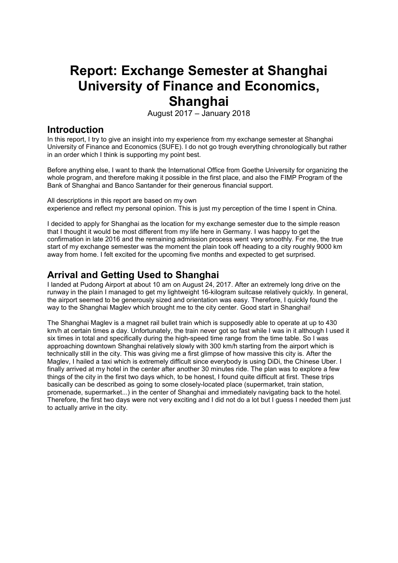# **Report: Exchange Semester at Shanghai University of Finance and Economics, Shanghai**

August  $2017 -$  January 2018

### **Introduction**

In this report, I try to give an insight into my experience from my exchange semester at Shanghai University of Finance and Economics (SUFE). I do not go trough everything chronologically but rather in an order which I think is supporting my point best.

Before anything else, I want to thank the International Office from Goethe University for organizing the whole program, and therefore making it possible in the first place, and also the FIMP Program of the Bank of Shanghai and Banco Santander for their generous financial support.

All descriptions in this report are based on my own experience and reflect my personal opinion. This is just my perception of the time I spent in China.

I decided to apply for Shanghai as the location for my exchange semester due to the simple reason that I thought it would be most different from my life here in Germany. I was happy to get the confirmation in late 2016 and the remaining admission process went very smoothly. For me, the true start of my exchange semester was the moment the plain took off heading to a city roughly 9000 km away from home. I felt excited for the upcoming five months and expected to get surprised.

### **Arrival and Getting Used to Shanghai**

I landed at Pudong Airport at about 10 am on August 24, 2017. After an extremely long drive on the runway in the plain I managed to get my lightweight 16-kilogram suitcase relatively quickly. In general, the airport seemed to be generously sized and orientation was easy. Therefore, I quickly found the way to the Shanghai Maglev which brought me to the city center. Good start in Shanghai!

The Shanghai Maglev is a magnet rail bullet train which is supposedly able to operate at up to 430 km/h at certain times a day. Unfortunately, the train never got so fast while I was in it although I used it six times in total and specifically during the high-speed time range from the time table. So I was approaching downtown Shanghai relatively slowly with 300 km/h starting from the airport which is technically still in the city. This was giving me a first glimpse of how massive this city is. After the Maglev, I hailed a taxi which is extremely difficult since everybody is using DiDi, the Chinese Uber. I finally arrived at my hotel in the center after another 30 minutes ride. The plan was to explore a few things of the city in the first two days which, to be honest, I found quite difficult at first. These trips basically can be described as going to some closely-located place (supermarket, train station, promenade, supermarket...) in the center of Shanghai and immediately navigating back to the hotel. Therefore, the first two days were not very exciting and I did not do a lot but I guess I needed them just to actually arrive in the city.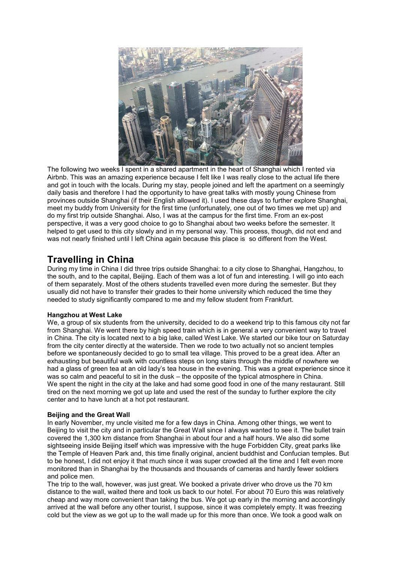

The following two weeks I spent in a shared apartment in the heart of Shanghai which I rented via Airbnb. This was an amazing experience because I felt like I was really close to the actual life there and got in touch with the locals. During my stay, people joined and left the apartment on a seemingly daily basis and therefore I had the opportunity to have great talks with mostly young Chinese from provinces outside Shanghai (if their English allowed it). I used these days to further explore Shanghai, meet my buddy from University for the first time (unfortunately, one out of two times we met up) and do my first trip outside Shanghai. Also, I was at the campus for the first time. From an ex-post perspective, it was a very good choice to go to Shanghai about two weeks before the semester. It helped to get used to this city slowly and in my personal way. This process, though, did not end and was not nearly finished until I left China again because this place is so different from the West.

### **Travelling in China**

During my time in China I did three trips outside Shanghai: to a city close to Shanghai, Hangzhou, to the south, and to the capital, Beijing. Each of them was a lot of fun and interesting. I will go into each of them separately. Most of the others students travelled even more during the semester. But they usually did not have to transfer their grades to their home university which reduced the time they needed to study significantly compared to me and my fellow student from Frankfurt.

#### **Hangzhou at West Lake**

We, a group of six students from the university, decided to do a weekend trip to this famous city not far from Shanghai. We went there by high speed train which is in general a very convenient way to travel in China. The city is located next to a big lake, called West Lake. We started our bike tour on Saturday from the city center directly at the waterside. Then we rode to two actually not so ancient temples before we spontaneously decided to go to small tea village. This proved to be a great idea. After an exhausting but beautiful walk with countless steps on long stairs through the middle of nowhere we had a glass of green tea at an old lady's tea house in the evening. This was a great experience since it was so calm and peaceful to sit in the dusk - the opposite of the typical atmosphere in China. We spent the night in the city at the lake and had some good food in one of the many restaurant. Still tired on the next morning we got up late and used the rest of the sunday to further explore the city center and to have lunch at a hot pot restaurant.

### **Beijing and the Great Wall**

In early November, my uncle visited me for a few days in China. Among other things, we went to Beijing to visit the city and in particular the Great Wall since I always wanted to see it. The bullet train covered the 1,300 km distance from Shanghai in about four and a half hours. We also did some sightseeing inside Beijing itself which was impressive with the huge Forbidden City, great parks like the Temple of Heaven Park and, this time finally original, ancient buddhist and Confucian temples. But to be honest, I did not enjoy it that much since it was super crowded all the time and I felt even more monitored than in Shanghai by the thousands and thousands of cameras and hardly fewer soldiers and police men.

The trip to the wall, however, was just great. We booked a private driver who drove us the 70 km distance to the wall, waited there and took us back to our hotel. For about 70 Euro this was relatively cheap and way more convenient than taking the bus. We got up early in the morning and accordingly arrived at the wall before any other tourist, I suppose, since it was completely empty. It was freezing cold but the view as we got up to the wall made up for this more than once. We took a good walk on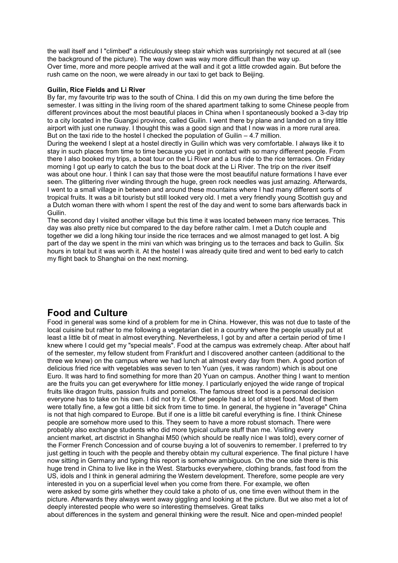the wall itself and I "climbed" a ridiculously steep stair which was surprisingly not secured at all (see the background of the picture). The way down was way more difficult than the way up. Over time, more and more people arrived at the wall and it got a little crowded again. But before the rush came on the noon, we were already in our taxi to get back to Beijing.

#### **Guilin, Rice Fields and Li River**

By far, my favourite trip was to the south of China. I did this on my own during the time before the semester. I was sitting in the living room of the shared apartment talking to some Chinese people from different provinces about the most beautiful places in China when I spontaneously booked a 3-day trip to a city located in the Guangxi province, called Guilin. I went there by plane and landed on a tiny little airport with just one runway. I thought this was a good sign and that I now was in a more rural area. But on the taxi ride to the hostel I checked the population of Guilin  $-4.7$  million.

During the weekend I slept at a hostel directly in Guilin which was very comfortable. I always like it to stay in such places from time to time because you get in contact with so many different people. From there I also booked my trips, a boat tour on the Li River and a bus ride to the rice terraces. On Friday morning I got up early to catch the bus to the boat dock at the Li River. The trip on the river itself was about one hour. I think I can say that those were the most beautiful nature formations I have ever seen. The glittering river winding through the huge, green rock needles was just amazing. Afterwards, I went to a small village in between and around these mountains where I had many different sorts of tropical fruits. It was a bit touristy but still looked very old. I met a very friendly young Scottish guy and a Dutch woman there with whom I spent the rest of the day and went to some bars afterwards back in Guilin.

The second day I visited another village but this time it was located between many rice terraces. This day was also pretty nice but compared to the day before rather calm. I met a Dutch couple and together we did a long hiking tour inside the rice terraces and we almost managed to get lost. A big part of the day we spent in the mini van which was bringing us to the terraces and back to Guilin. Six hours in total but it was worth it. At the hostel I was already quite tired and went to bed early to catch my flight back to Shanghai on the next morning.

### **Food and Culture**

Food in general was some kind of a problem for me in China. However, this was not due to taste of the local cuisine but rather to me following a vegetarian diet in a country where the people usually put at least a little bit of meat in almost everything. Nevertheless, I got by and after a certain period of time I knew where I could get my "special meals". Food at the campus was extremely cheap. After about half of the semester, my fellow student from Frankfurt and I discovered another canteen (additional to the three we knew) on the campus where we had lunch at almost every day from then. A good portion of delicious fried rice with vegetables was seven to ten Yuan (yes, it was random) which is about one Euro. It was hard to find something for more than 20 Yuan on campus. Another thing I want to mention are the fruits you can get everywhere for little money. I particularly enjoyed the wide range of tropical fruits like dragon fruits, passion fruits and pomelos. The famous street food is a personal decision everyone has to take on his own. I did not try it. Other people had a lot of street food. Most of them were totally fine, a few got a little bit sick from time to time. In general, the hygiene in "average" China is not that high compared to Europe. But if one is a little bit careful everything is fine. I think Chinese people are somehow more used to this. They seem to have a more robust stomach. There were probably also exchange students who did more typical culture stuff than me. Visiting every ancient market, art disctrict in Shanghai M50 (which should be really nice I was told), every corner of the Former French Concession and of course buying a lot of souvenirs to remember. I preferred to try just getting in touch with the people and thereby obtain my cultural experience. The final picture I have now sitting in Germany and typing this report is somehow ambiguous. On the one side there is this huge trend in China to live like in the West. Starbucks everywhere, clothing brands, fast food from the US, idols and I think in general admiring the Western development. Therefore, some people are very interested in you on a superficial level when you come from there. For example, we often were asked by some girls whether they could take a photo of us, one time even without them in the picture. Afterwards they always went away giggling and looking at the picture. But we also met a lot of deeply interested people who were so interesting themselves. Great talks about differences in the system and general thinking were the result. Nice and open-minded people!